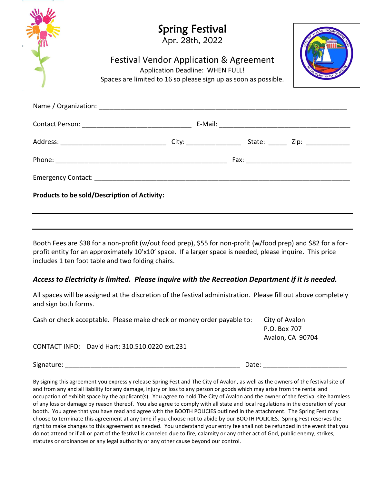| <b>Spring Festival</b><br>Apr. 28th, 2022<br><b>Festival Vendor Application &amp; Agreement</b><br>Application Deadline: WHEN FULL!<br>Spaces are limited to 16 so please sign up as soon as possible. |  |
|--------------------------------------------------------------------------------------------------------------------------------------------------------------------------------------------------------|--|
|                                                                                                                                                                                                        |  |
|                                                                                                                                                                                                        |  |
|                                                                                                                                                                                                        |  |
|                                                                                                                                                                                                        |  |
|                                                                                                                                                                                                        |  |
| <b>Products to be sold/Description of Activity:</b>                                                                                                                                                    |  |

Booth Fees are \$38 for a non-profit (w/out food prep), \$55 for non-profit (w/food prep) and \$82 for a forprofit entity for an approximately 10'x10' space. If a larger space is needed, please inquire. This price includes 1 ten foot table and two folding chairs.

## *Access to Electricity is limited. Please inquire with the Recreation Department if it is needed.*

All spaces will be assigned at the discretion of the festival administration. Please fill out above completely and sign both forms.

| Cash or check acceptable. Please make check or money order payable to: |                                                | City of Avalon   |
|------------------------------------------------------------------------|------------------------------------------------|------------------|
|                                                                        |                                                | P.O. Box 707     |
|                                                                        |                                                | Avalon, CA 90704 |
|                                                                        | CONTACT INFO: David Hart: 310.510.0220 ext.231 |                  |
|                                                                        |                                                |                  |

Signature: \_\_\_\_\_\_\_\_\_\_\_\_\_\_\_\_\_\_\_\_\_\_\_\_\_\_\_\_\_\_\_\_\_\_\_\_\_\_\_\_\_\_\_\_\_\_\_\_ Date: \_\_\_\_\_\_\_\_\_\_\_\_\_\_\_\_\_\_\_\_\_\_\_

By signing this agreement you expressly release Spring Fest and The City of Avalon, as well as the owners of the festival site of and from any and all liability for any damage, injury or loss to any person or goods which may arise from the rental and occupation of exhibit space by the applicant(s). You agree to hold The City of Avalon and the owner of the festival site harmless of any loss or damage by reason thereof. You also agree to comply with all state and local regulations in the operation of your booth. You agree that you have read and agree with the BOOTH POLICIES outlined in the attachment. The Spring Fest may choose to terminate this agreement at any time if you choose not to abide by our BOOTH POLICIES. Spring Fest reserves the right to make changes to this agreement as needed. You understand your entry fee shall not be refunded in the event that you do not attend or if all or part of the festival is canceled due to fire, calamity or any other act of God, public enemy, strikes, statutes or ordinances or any legal authority or any other cause beyond our control.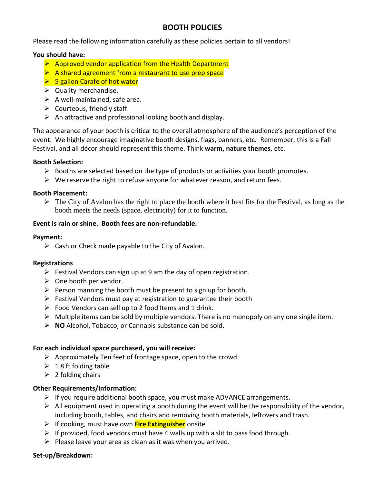# **BOOTH POLICIES**

Please read the following information carefully as these policies pertain to all vendors!

#### **You should have:**

- $\triangleright$  Approved vendor application from the Health Department
- $\triangleright$  A shared agreement from a restaurant to use prep space
- $\triangleright$  5 gallon Carafe of hot water
- $\triangleright$  Quality merchandise.
- $\triangleright$  A well-maintained, safe area.
- $\triangleright$  Courteous, friendly staff.
- $\triangleright$  An attractive and professional looking booth and display.

The appearance of your booth is critical to the overall atmosphere of the audience's perception of the event. We highly encourage imaginative booth designs, flags, banners, etc. Remember, this is a Fall Festival, and all décor should represent this theme. Think **warm, nature themes**, etc.

## **Booth Selection:**

- $\triangleright$  Booths are selected based on the type of products or activities your booth promotes.
- $\triangleright$  We reserve the right to refuse anyone for whatever reason, and return fees.

## **Booth Placement:**

 $\triangleright$  The City of Avalon has the right to place the booth where it best fits for the Festival, as long as the booth meets the needs (space, electricity) for it to function.

## **Event is rain or shine. Booth fees are non-refundable.**

#### **Payment:**

 $\triangleright$  Cash or Check made payable to the City of Avalon.

#### **Registrations**

- $\triangleright$  Festival Vendors can sign up at 9 am the day of open registration.
- $\triangleright$  One booth per vendor.
- $\triangleright$  Person manning the booth must be present to sign up for booth.
- $\triangleright$  Festival Vendors must pay at registration to guarantee their booth
- $\triangleright$  Food Vendors can sell up to 2 food Items and 1 drink.
- $\triangleright$  Multiple items can be sold by multiple vendors. There is no monopoly on any one single item.
- **NO** Alcohol, Tobacco, or Cannabis substance can be sold.

#### **For each individual space purchased, you will receive:**

- $\triangleright$  Approximately Ten feet of frontage space, open to the crowd.
- $\geq 18$  ft folding table
- $\geq$  2 folding chairs

#### **Other Requirements/Information:**

- $\triangleright$  If you require additional booth space, you must make ADVANCE arrangements.
- $\triangleright$  All equipment used in operating a booth during the event will be the responsibility of the vendor, including booth, tables, and chairs and removing booth materials, leftovers and trash.
- If cooking, must have own **Fire Extinguisher** onsite
- $\triangleright$  If provided, food vendors must have 4 walls up with a slit to pass food through.
- $\triangleright$  Please leave your area as clean as it was when you arrived.

#### **Set-up/Breakdown:**